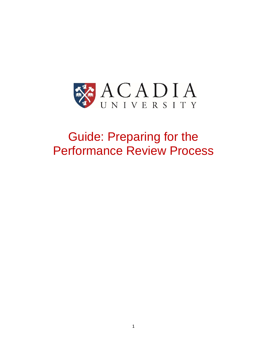

# Guide: Preparing for the Performance Review Process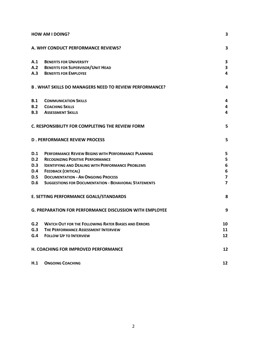| <b>HOW AM I DOING?</b>                 |                                                                | 3                       |
|----------------------------------------|----------------------------------------------------------------|-------------------------|
|                                        | A. WHY CONDUCT PERFORMANCE REVIEWS?                            | 3                       |
| A.1                                    | <b>BENEFITS FOR UNIVERSITY</b>                                 | 3                       |
|                                        | A.2 BENEFITS FOR SUPERVISOR/UNIT HEAD                          | 3                       |
|                                        | <b>A.3 BENEFITS FOR EMPLOYEE</b>                               | 4                       |
|                                        | <b>B. WHAT SKILLS DO MANAGERS NEED TO REVIEW PERFORMANCE?</b>  | 4                       |
| B.1                                    | <b>COMMUNICATION SKILLS</b>                                    | 4                       |
| B.2                                    | <b>COACHING SKILLS</b>                                         | 4                       |
|                                        | <b>B.3 ASSESSMENT SKILLS</b>                                   | 4                       |
|                                        | C. RESPONSIBILITY FOR COMPLETING THE REVIEW FORM               | 5                       |
|                                        | <b>D. PERFORMANCE REVIEW PROCESS</b>                           | 5                       |
| D.1                                    | PERFORMANCE REVIEW BEGINS WITH PERFORMANCE PLANNING            | 5                       |
| D.2                                    | <b>RECOGNIZING POSITIVE PERFORMANCE</b>                        | 5                       |
| D.3                                    | <b>IDENTIFYING AND DEALING WITH PERFORMANCE PROBLEMS</b>       | 6                       |
| <b>D.4</b>                             | <b>FEEDBACK (CRITICAL)</b>                                     | $\bf 6$                 |
| <b>D.5</b>                             | <b>DOCUMENTATION - AN ONGOING PROCESS</b>                      | $\overline{\mathbf{z}}$ |
| <b>D.6</b>                             | <b>SUGGESTIONS FOR DOCUMENTATION - BEHAVIORAL STATEMENTS</b>   | $\overline{\mathbf{z}}$ |
| E. SETTING PERFORMANCE GOALS/STANDARDS |                                                                | 8                       |
|                                        | <b>G. PREPARATION FOR PERFORMANCE DISCUSSION WITH EMPLOYEE</b> | 9                       |
| G.2                                    | <b>WATCH OUT FOR THE FOLLOWING RATER BIASES AND ERRORS</b>     | 10                      |
| G.3                                    | THE PERFORMANCE ASSESSMENT INTERVIEW                           | 11                      |
| G.4                                    | <b>FOLLOW UP TO INTERVIEW</b>                                  | 12                      |
|                                        | H. COACHING FOR IMPROVED PERFORMANCE                           | 12                      |
| H.1                                    | <b>ONGOING COACHING</b>                                        | 12                      |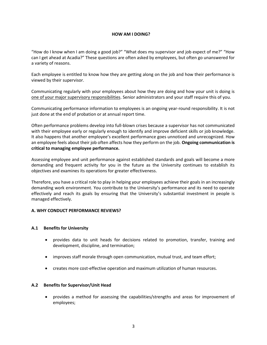#### **HOW AM I DOING?**

<span id="page-2-0"></span>"How do I know when I am doing a good job?" "What does my supervisor and job expect of me?" "How can I get ahead at Acadia?" These questions are often asked by employees, but often go unanswered for a variety of reasons.

Each employee is entitled to know how they are getting along on the job and how their performance is viewed by their supervisor.

Communicating regularly with your employees about how they are doing and how your unit is doing is one of your major supervisory responsibilities. Senior administrators and your staff require this of you.

Communicating performance information to employees is an ongoing year-round responsibility. It is not just done at the end of probation or at annual report time.

Often performance problems develop into full-blown crises because a supervisor has not communicated with their employee early or regularly enough to identify and improve deficient skills or job knowledge. It also happens that another employee's excellent performance goes unnoticed and unrecognized. How an employee feels about their job often affects how they perform on the job. **Ongoing communication is critical to managing employee performance.**

Assessing employee and unit performance against established standards and goals will become a more demanding and frequent activity for you in the future as the University continues to establish its objectives and examines its operations for greater effectiveness.

Therefore, you have a critical role to play in helping your employees achieve their goals in an increasingly demanding work environment. You contribute to the University's performance and its need to operate effectively and reach its goals by ensuring that the University's substantial investment in people is managed effectively.

## <span id="page-2-1"></span>**A. WHY CONDUCT PERFORMANCE REVIEWS?**

#### <span id="page-2-2"></span>**A.1 Benefits for University**

- provides data to unit heads for decisions related to promotion, transfer, training and development, discipline, and termination;
- improves staff morale through open communication, mutual trust, and team effort;
- creates more cost-effective operation and maximum utilization of human resources.

#### <span id="page-2-3"></span>**A.2 Benefits for Supervisor/Unit Head**

 provides a method for assessing the capabilities/strengths and areas for improvement of employees;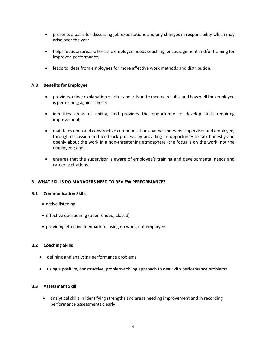- presents a basis for discussing job expectations and any changes in responsibility which may arise over the year;
- helps focus on areas where the employee needs coaching, encouragement and/or training for improved performance;
- leads to ideas from employees for more effective work methods and distribution.

## <span id="page-3-0"></span>**A.3 Benefits for Employee**

- provides a clear explanation of job standards and expected results, and how well the employee is performing against these;
- identifies areas of ability, and provides the opportunity to develop skills requiring improvement;
- maintains open and constructive communication channels between supervisor and employee, through discussion and feedback process, by providing an opportunity to talk honestly and openly about the work in a non-threatening atmosphere (the focus is on the work, not the employee); and
- ensures that the supervisor is aware of employee's training and developmental needs and career aspirations.

## <span id="page-3-1"></span>**B . WHAT SKILLS DO MANAGERS NEED TO REVIEW PERFORMANCE?**

## <span id="page-3-2"></span>**B.1 Communication Skills**

- active listening
- effective questioning (open-ended, closed)
- providing effective feedback focusing on work, not employee

## <span id="page-3-3"></span>**B.2 Coaching Skills**

- defining and analysing performance problems
- using a positive, constructive, problem-solving approach to deal with performance problems

## <span id="page-3-4"></span>**B.3 Assessment Skill**

 analytical skills in identifying strengths and areas needing improvement and in recording performance assessments clearly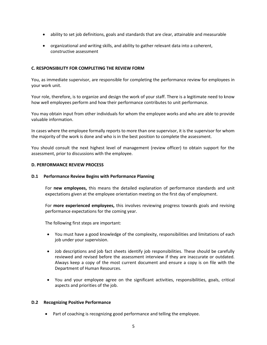- ability to set job definitions, goals and standards that are clear, attainable and measurable
- organizational and writing skills, and ability to gather relevant data into a coherent, constructive assessment

## <span id="page-4-0"></span>**C. RESPONSIBILITY FOR COMPLETING THE REVIEW FORM**

You, as immediate supervisor, are responsible for completing the performance review for employees in your work unit.

Your role, therefore, is to organize and design the work of your staff. There is a legitimate need to know how well employees perform and how their performance contributes to unit performance.

You may obtain input from other individuals for whom the employee works and who are able to provide valuable information.

In cases where the employee formally reports to more than one supervisor, it is the supervisor for whom the majority of the work is done and who is in the best position to complete the assessment.

You should consult the next highest level of management (review officer) to obtain support for the assessment, prior to discussions with the employee.

#### <span id="page-4-1"></span>**D. PERFORMANCE REVIEW PROCESS**

#### <span id="page-4-2"></span>**D.1 Performance Review Begins with Performance Planning**

For **new employees,** this means the detailed explanation of performance standards and unit expectations given at the employee orientation meeting on the first day of employment.

For **more experienced employees,** this involves reviewing progress towards goals and revising performance expectations for the coming year.

The following first steps are important:

- You must have a good knowledge of the complexity, responsibilities and limitations of each job under your supervision.
- Job descriptions and job fact sheets identify job responsibilities. These should be carefully reviewed and revised before the assessment interview if they are inaccurate or outdated. Always keep a copy of the most current document and ensure a copy is on file with the Department of Human Resources.
- You and your employee agree on the significant activities, responsibilities, goals, critical aspects and priorities of the job.

#### <span id="page-4-3"></span>**D.2 Recognizing Positive Performance**

Part of coaching is recognizing good performance and telling the employee.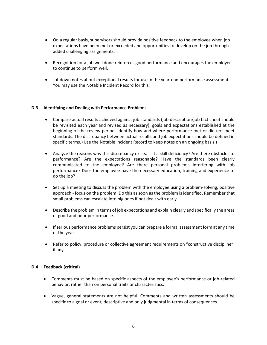- On a regular basis, supervisors should provide positive feedback to the employee when job expectations have been met or exceeded and opportunities to develop on the job through added challenging assignments.
- Recognition for a job well done reinforces good performance and encourages the employee to continue to perform well.
- Jot down notes about exceptional results for use in the year-end performance assessment. You may use the Notable Incident Record for this.

## <span id="page-5-0"></span>**D.3 Identifying and Dealing with Performance Problems**

- Compare actual results achieved against job standards (job description/job fact sheet should be revisited each year and revised as necessary), goals and expectations established at the beginning of the review period. Identify how and where performance met or did not meet standards. The discrepancy between actual results and job expectations should be defined in specific terms. (Use the Notable Incident Record to keep notes on an ongoing basis.)
- Analyze the reasons why this discrepancy exists. Is it a skill deficiency? Are there obstacles to performance? Are the expectations reasonable? Have the standards been clearly communicated to the employee? Are there personal problems interfering with job performance? Does the employee have the necessary education, training and experience to do the job?
- Set up a meeting to discuss the problem with the employee using a problem-solving, positive approach - focus on the problem. Do this as soon as the problem is identified. Remember that small problems can escalate into big ones if not dealt with early.
- Describe the problem in terms of job expectations and explain clearly and specifically the areas of good and poor performance.
- If serious performance problems persist you can prepare a formal assessment form at any time of the year.
- Refer to policy, procedure or collective agreement requirements on "constructive discipline", if any.

## <span id="page-5-1"></span>**D.4 Feedback (critical)**

- Comments must be based on specific aspects of the employee's performance or job-related behavior, rather than on personal traits or characteristics.
- Vague, general statements are not helpful. Comments and written assessments should be specific to a goal or event, descriptive and only judgmental in terms of consequences.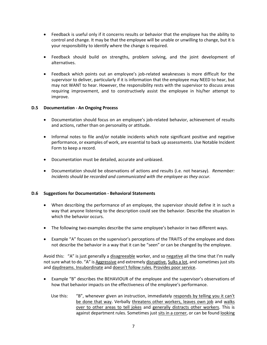- Feedback is useful only if it concerns results or behavior that the employee has the ability to control and change. It may be that the employee will be unable or unwilling to change, but it is your responsibility to identify where the change is required.
- Feedback should build on strengths, problem solving, and the joint development of alternatives.
- Feedback which points out an employee's job-related weaknesses is more difficult for the supervisor to deliver, particularly if it is information that the employee may NEED to hear, but may not WANT to hear. However, the responsibility rests with the supervisor to discuss areas requiring improvement, and to constructively assist the employee in his/her attempt to improve.

## <span id="page-6-0"></span>**D.5 Documentation - An Ongoing Process**

- Documentation should focus on an employee's job-related behavior, achievement of results and actions, rather than on personality or attitude.
- Informal notes to file and/or notable incidents which note significant positive and negative performance, or examples of work, are essential to back up assessments. Use Notable Incident Form to keep a record.
- Documentation must be detailed, accurate and unbiased.
- Documentation should be observations of actions and results (i.e. not hearsay). *Remember: Incidents should be recorded and communicated with the employee as they occur.*

#### <span id="page-6-1"></span>**D.6 Suggestions for Documentation - Behavioral Statements**

- When describing the performance of an employee, the supervisor should define it in such a way that anyone listening to the description could see the behavior. Describe the situation in which the behavior occurs.
- The following two examples describe the same employee's behavior in two different ways.
- Example "A" focuses on the supervisor's perceptions of the TRAITS of the employee and does not describe the behavior in a way that it can be "seen" or can be changed by the employee.

Avoid this: "A" is just generally a disagreeable worker, and so negative all the time that I'm really not sure what to do. "A" is Aggressive and extremely disruptive. Sulks a lot, and sometimes just sits and daydreams. Insubordinate and doesn't follow rules. Provides poor service.

- Example "B" describes the BEHAVIOUR of the employee and the supervisor's observations of how that behavior impacts on the effectiveness of the employee's performance.
	- Use this: "B", whenever given an instruction, immediately responds by telling you it can't be done that way. Verbally threatens other workers, leaves own job and walks over to other areas to tell jokes and generally distracts other workers. This is against department rules. Sometimes just sits in a corner, or can be found looking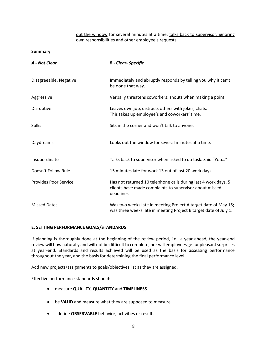## out the window for several minutes at a time, talks back to supervisor, ignoring own responsibilities and other employee's requests.

#### **Summary**

| A - Not Clear                | <b>B</b> - Clear- Specific                                                                                                              |
|------------------------------|-----------------------------------------------------------------------------------------------------------------------------------------|
| Disagreeable, Negative       | Immediately and abruptly responds by telling you why it can't<br>be done that way.                                                      |
| Aggressive                   | Verbally threatens coworkers; shouts when making a point.                                                                               |
| Disruptive                   | Leaves own job, distracts others with jokes; chats.<br>This takes up employee's and coworkers' time.                                    |
| Sulks                        | Sits in the corner and won't talk to anyone.                                                                                            |
| Daydreams                    | Looks out the window for several minutes at a time.                                                                                     |
| Insubordinate                | Talks back to supervisor when asked to do task. Said "You".                                                                             |
| Doesn't Follow Rule          | 15 minutes late for work 13 out of last 20 work days.                                                                                   |
| <b>Provides Poor Service</b> | Has not returned 10 telephone calls during last 4 work days. 5<br>clients have made complaints to supervisor about missed<br>deadlines. |
| <b>Missed Dates</b>          | Was two weeks late in meeting Project A target date of May 15;<br>was three weeks late in meeting Project B target date of July 1.      |

## <span id="page-7-0"></span>**E. SETTING PERFORMANCE GOALS/STANDARDS**

If planning is thoroughly done at the beginning of the review period, i.e., a year ahead, the year-end review will flow naturally and will not be difficult to complete, nor will employees get unpleasant surprises at year-end. Standards and results achieved will be used as the basis for assessing performance throughout the year, and the basis for determining the final performance level.

Add new projects/assignments to goals/objectives list as they are assigned.

Effective performance standards should:

- measure **QUALITY, QUANTITY** and **TIMELINESS**
- be **VALID** and measure what they are supposed to measure
- define **OBSERVABLE** behavior, activities or results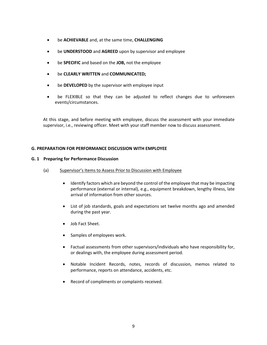- be **ACHIEVABLE** and, at the same time, **CHALLENGING**
- be **UNDERSTOOD** and **AGREED** upon by supervisor and employee
- be **SPECIFIC** and based on the **JOB,** not the employee
- be **CLEARLY WRITTEN** and **COMMUNICATED;**
- be **DEVELOPED** by the supervisor with employee input
- be FLEXIBLE so that they can be adjusted to reflect changes due to unforeseen events/circumstances.

At this stage, and before meeting with employee, discuss the assessment with your immediate supervisor, i.e., reviewing officer. Meet with your staff member now to discuss assessment.

## <span id="page-8-0"></span>**G. PREPARATION FOR PERFORMANCE DISCUSSION WITH EMPLOYEE**

## **G. 1 Preparing for Performance Discussion**

- (a) Supervisor's Items to Assess Prior to Discussion with Employee
	- Identify factors which are beyond the control of the employee that may be impacting performance (external or internal), e.g., equipment breakdown, lengthy illness, late arrival of information from other sources.
	- List of job standards, goals and expectations set twelve months ago and amended during the past year.
	- Job Fact Sheet.
	- Samples of employees work.
	- Factual assessments from other supervisors/individuals who have responsibility for, or dealings with, the employee during assessment period.
	- Notable Incident Records, notes, records of discussion, memos related to performance, reports on attendance, accidents, etc.
	- Record of compliments or complaints received.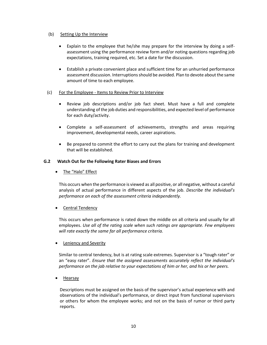#### (b) Setting Up the Interview

- Explain to the employee that he/she may prepare for the interview by doing a selfassessment using the performance review form and/or noting questions regarding job expectations, training required, etc. Set a date for the discussion.
- Establish a private convenient place and sufficient time for an unhurried performance assessment discussion. Interruptions should be avoided. Plan to devote about the same amount of time to each employee.

## (c) For the Employee - Items to Review Prior to Interview

- Review job descriptions and/or job fact sheet. Must have a full and complete understanding of the job duties and responsibilities, and expected level of performance for each duty/activity.
- Complete a self-assessment of achievements, strengths and areas requiring improvement, developmental needs, career aspirations.
- Be prepared to commit the effort to carry out the plans for training and development that will be established.

## <span id="page-9-0"></span>**G.2 Watch Out for the Following Rater Biases and Errors**

• The "Halo" Effect

This occurs when the performance is viewed as all positive, or all negative, without a careful analysis of actual performance in different aspects of the job. *Describe the individual's performance on each of the assessment criteria independently.*

## Central Tendency

This occurs when performance is rated down the middle on all criteria and usually for all employees. *Use all of the rating scale when such ratings are appropriate. Few employees will rate exactly the same far all performance criteria.*

Leniency and Severity

Similar to central tendency, but is at rating scale extremes. Supervisor is a "tough rater" or an "easy rater". *Ensure that the assigned assessments accurately reflect the individual's performance on the jab relative to your expectations of him or her, and his or her peers.*

Hearsay

Descriptions must be assigned on the basis of the supervisor's actual experience with and observations of the individual's performance, or direct input from functional supervisors or others for whom the employee works; and not on the basis of rumor or third party reports.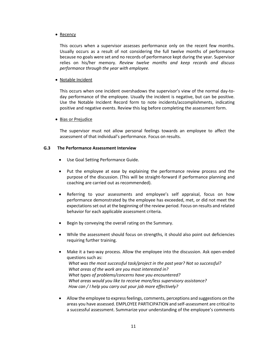• Recency

This occurs when a supervisor assesses performance only on the recent few months. Usually occurs as a result of not considering the full twelve months of performance because no goals were set and no records of performance kept during the year. Supervisor relies on his/her memory. *Review twelve months and keep records and discuss performance through the year with employee.*

#### Notable Incident

This occurs when one incident overshadows the supervisor's view of the normal day-today performance of the employee. Usually the incident is negative, but can be positive. Use the Notable Incident Record form to note incidents/accomplishments, indicating positive and negative events. Review this log before completing the assessment form.

#### • Bias or Prejudice

The supervisor must not allow personal feelings towards an employee to affect the assessment of that individual's performance. Focus on results.

#### <span id="page-10-0"></span>**G.3 The Performance Assessment Interview**

- Use Goal Setting Performance Guide.
- Put the employee at ease by explaining the performance review process and the purpose of the discussion. (This will be straight-forward if performance planning and coaching are carried out as recommended).
- Referring to your assessments and employee's self appraisal, focus on how performance demonstrated by the employee has exceeded, met, or did not meet the expectations set out at the beginning of the review period. Focus on results and related behavior for each applicable assessment criteria.
- Begin by conveying the overall rating on the Summary.
- While the assessment should focus on strengths, it should also point out deficiencies requiring further training.
- Make it a two-way process. Allow the employee into the discussion. Ask open-ended questions such as: *What was the most successful task/project in the past year? Not so successful? What areas of the work are you most interested in? What types of problems/concerns have you encountered? What areas would you like to receive more/less supervisory assistance? How can / I help you carry out your job more effectively?*
- Allow the employee to express feelings, comments, perceptions and suggestions on the areas you have assessed. EMPLOYEE PARTICIPATION and self-assessment are critical to a successful assessment. Summarize your understanding of the employee's comments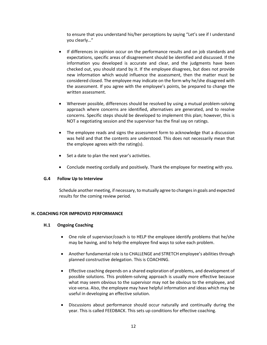to ensure that you understand his/her perceptions by saying "Let's see if I understand you clearly…"

- If differences in opinion occur on the performance results and on job standards and expectations, specific areas of disagreement should be identified and discussed. If the information you developed is accurate and clear, and the judgments have been checked out, you should stand by it. If the employee disagrees, but does not provide new information which would influence the assessment, then the matter must be considered closed. The employee may indicate on the form why he/she disagreed with the assessment. If you agree with the employee's points, be prepared to change the written assessment.
- Wherever possible, differences should be resolved by using a mutual problem-solving approach where concerns are identified, alternatives are generated, and to resolve concerns. Specific steps should be developed to implement this plan; however, this is NOT a negotiating session and the supervisor has the final say on ratings.
- The employee reads and signs the assessment form to acknowledge that a discussion was held and that the contents are understood. This does not necessarily mean that the employee agrees with the rating(s).
- Set a date to plan the next year's activities.
- Conclude meeting cordially and positively. Thank the employee for meeting with you.

## <span id="page-11-0"></span>**G.4 Follow Up to Interview**

Schedule another meeting, if necessary, to mutually agree to changes in goals and expected results for the coming review period.

## <span id="page-11-2"></span><span id="page-11-1"></span>**H. COACHING FOR IMPROVED PERFORMANCE**

## **H.1 Ongoing Coaching**

- One role of supervisor/coach is to HELP the employee identify problems that he/she may be having, and to help the employee find ways to solve each problem.
- Another fundamental role is to CHALLENGE and STRETCH employee's abilities through planned constructive delegation. This is COACHING.
- Effective coaching depends on a shared exploration of problems, and development of possible solutions. This problem-solving approach is usually more effective because what may seem obvious to the supervisor may not be obvious to the employee, and vice-versa. AIso, the employee may have helpful information and ideas which may be useful in developing an effective solution.
- Discussions about performance should occur naturally and continually during the year. This is called FEEDBACK. This sets up conditions for effective coaching.